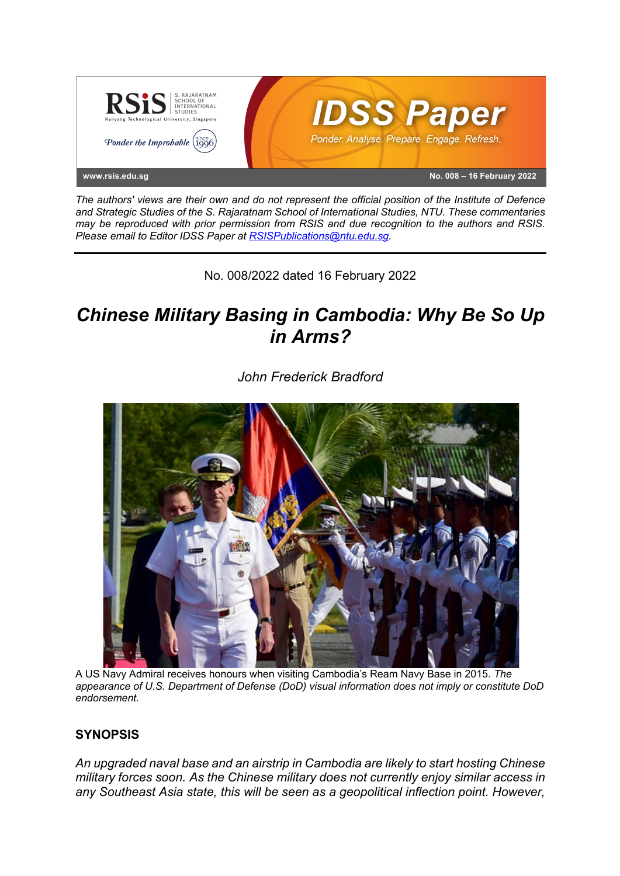

*The authors' views are their own and do not represent the official position of the Institute of Defence and Strategic Studies of the S. Rajaratnam School of International Studies, NTU. These commentaries may be reproduced with prior permission from RSIS and due recognition to the authors and RSIS. Please email to Editor IDSS Paper at RSISPublications@ntu.edu.sg.*

No. 008/2022 dated 16 February 2022

# *Chinese Military Basing in Cambodia: Why Be So Up in Arms?*



*John Frederick Bradford*

A US Navy Admiral receives honours when visiting Cambodia's Ream Navy Base in 2015. *The appearance of U.S. Department of Defense (DoD) visual information does not imply or constitute DoD endorsement.*

## **SYNOPSIS**

*An upgraded naval base and an airstrip in Cambodia are likely to start hosting Chinese military forces soon. As the Chinese military does not currently enjoy similar access in any Southeast Asia state, this will be seen as a geopolitical inflection point. However,*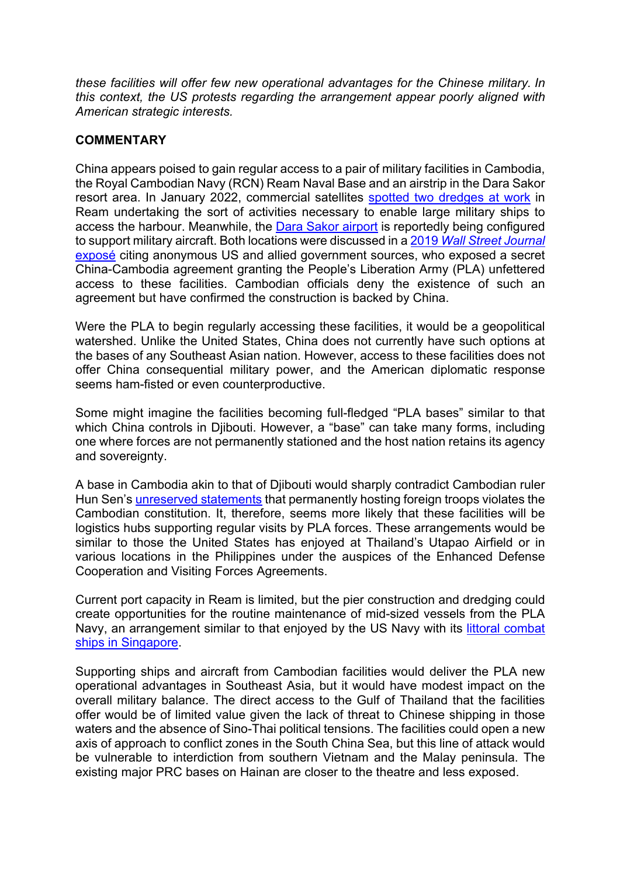*these facilities will offer few new operational advantages for the Chinese military. In this context, the US protests regarding the arrangement appear poorly aligned with American strategic interests.*

### **COMMENTARY**

China appears poised to gain regular access to a pair of military facilities in Cambodia, the Royal Cambodian Navy (RCN) Ream Naval Base and an airstrip in the Dara Sakor resort area. In January 2022, commercial satellites spotted two dredges at work in Ream undertaking the sort of activities necessary to enable large military ships to access the harbour. Meanwhile, the Dara Sakor airport is reportedly being configured to support military aircraft. Both locations were discussed in a 2019 *Wall Street Journal*  exposé citing anonymous US and allied government sources, who exposed a secret China-Cambodia agreement granting the People's Liberation Army (PLA) unfettered access to these facilities. Cambodian officials deny the existence of such an agreement but have confirmed the construction is backed by China.

Were the PLA to begin regularly accessing these facilities, it would be a geopolitical watershed. Unlike the United States, China does not currently have such options at the bases of any Southeast Asian nation. However, access to these facilities does not offer China consequential military power, and the American diplomatic response seems ham-fisted or even counterproductive.

Some might imagine the facilities becoming full-fledged "PLA bases" similar to that which China controls in Djibouti. However, a "base" can take many forms, including one where forces are not permanently stationed and the host nation retains its agency and sovereignty.

A base in Cambodia akin to that of Djibouti would sharply contradict Cambodian ruler Hun Sen's unreserved statements that permanently hosting foreign troops violates the Cambodian constitution. It, therefore, seems more likely that these facilities will be logistics hubs supporting regular visits by PLA forces. These arrangements would be similar to those the United States has enjoyed at Thailand's Utapao Airfield or in various locations in the Philippines under the auspices of the Enhanced Defense Cooperation and Visiting Forces Agreements.

Current port capacity in Ream is limited, but the pier construction and dredging could create opportunities for the routine maintenance of mid-sized vessels from the PLA Navy, an arrangement similar to that enjoyed by the US Navy with its littoral combat ships in Singapore.

Supporting ships and aircraft from Cambodian facilities would deliver the PLA new operational advantages in Southeast Asia, but it would have modest impact on the overall military balance. The direct access to the Gulf of Thailand that the facilities offer would be of limited value given the lack of threat to Chinese shipping in those waters and the absence of Sino-Thai political tensions. The facilities could open a new axis of approach to conflict zones in the South China Sea, but this line of attack would be vulnerable to interdiction from southern Vietnam and the Malay peninsula. The existing major PRC bases on Hainan are closer to the theatre and less exposed.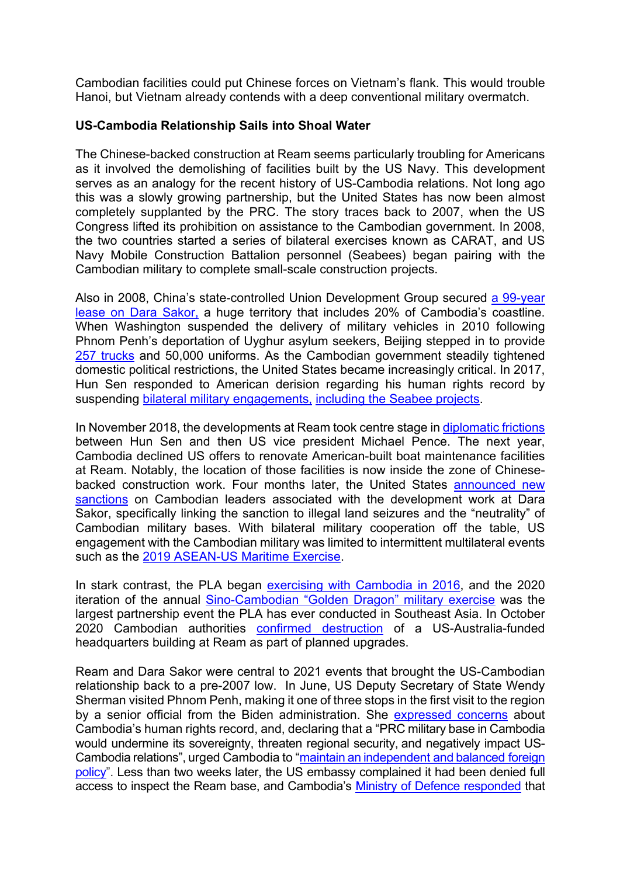Cambodian facilities could put Chinese forces on Vietnam's flank. This would trouble Hanoi, but Vietnam already contends with a deep conventional military overmatch.

### **US-Cambodia Relationship Sails into Shoal Water**

The Chinese-backed construction at Ream seems particularly troubling for Americans as it involved the demolishing of facilities built by the US Navy. This development serves as an analogy for the recent history of US-Cambodia relations. Not long ago this was a slowly growing partnership, but the United States has now been almost completely supplanted by the PRC. The story traces back to 2007, when the US Congress lifted its prohibition on assistance to the Cambodian government. In 2008, the two countries started a series of bilateral exercises known as CARAT, and US Navy Mobile Construction Battalion personnel (Seabees) began pairing with the Cambodian military to complete small-scale construction projects.

Also in 2008, China's state-controlled Union Development Group secured a 99-year lease on Dara Sakor, a huge territory that includes 20% of Cambodia's coastline. When Washington suspended the delivery of military vehicles in 2010 following Phnom Penh's deportation of Uyghur asylum seekers, Beijing stepped in to provide 257 trucks and 50,000 uniforms. As the Cambodian government steadily tightened domestic political restrictions, the United States became increasingly critical. In 2017, Hun Sen responded to American derision regarding his human rights record by suspending bilateral military engagements, including the Seabee projects.

In November 2018, the developments at Ream took centre stage in diplomatic frictions between Hun Sen and then US vice president Michael Pence. The next year, Cambodia declined US offers to renovate American-built boat maintenance facilities at Ream. Notably, the location of those facilities is now inside the zone of Chinesebacked construction work. Four months later, the United States announced new sanctions on Cambodian leaders associated with the development work at Dara Sakor, specifically linking the sanction to illegal land seizures and the "neutrality" of Cambodian military bases. With bilateral military cooperation off the table, US engagement with the Cambodian military was limited to intermittent multilateral events such as the 2019 ASEAN-US Maritime Exercise.

In stark contrast, the PLA began exercising with Cambodia in 2016, and the 2020 iteration of the annual Sino-Cambodian "Golden Dragon" military exercise was the largest partnership event the PLA has ever conducted in Southeast Asia. In October 2020 Cambodian authorities confirmed destruction of a US-Australia-funded headquarters building at Ream as part of planned upgrades.

Ream and Dara Sakor were central to 2021 events that brought the US-Cambodian relationship back to a pre-2007 low. In June, US Deputy Secretary of State Wendy Sherman visited Phnom Penh, making it one of three stops in the first visit to the region by a senior official from the Biden administration. She expressed concerns about Cambodia's human rights record, and, declaring that a "PRC military base in Cambodia would undermine its sovereignty, threaten regional security, and negatively impact US-Cambodia relations", urged Cambodia to "maintain an independent and balanced foreign policy". Less than two weeks later, the US embassy complained it had been denied full access to inspect the Ream base, and Cambodia's Ministry of Defence responded that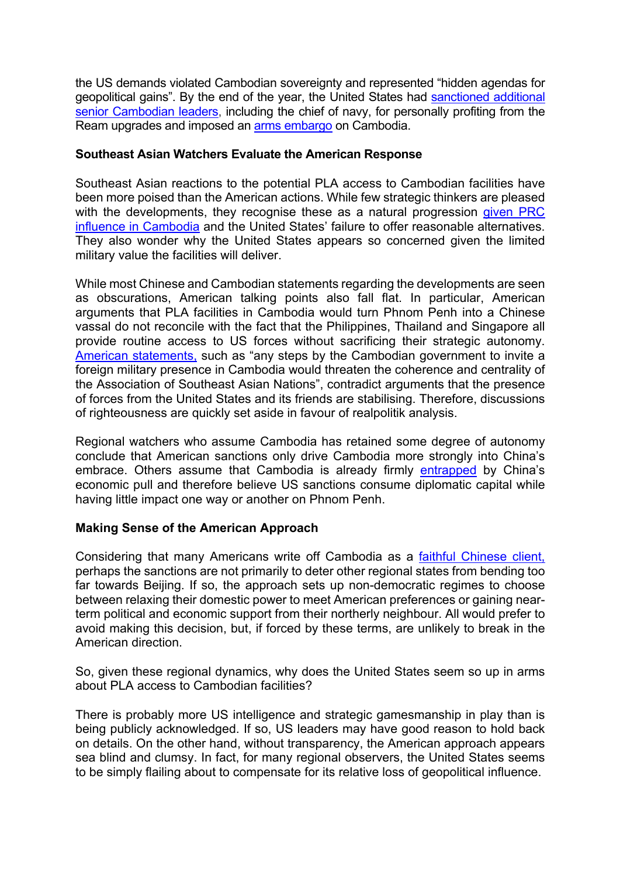the US demands violated Cambodian sovereignty and represented "hidden agendas for geopolitical gains". By the end of the year, the United States had sanctioned additional senior Cambodian leaders, including the chief of navy, for personally profiting from the Ream upgrades and imposed an arms embargo on Cambodia.

#### **Southeast Asian Watchers Evaluate the American Response**

Southeast Asian reactions to the potential PLA access to Cambodian facilities have been more poised than the American actions. While few strategic thinkers are pleased with the developments, they recognise these as a natural progression given PRC influence in Cambodia and the United States' failure to offer reasonable alternatives. They also wonder why the United States appears so concerned given the limited military value the facilities will deliver.

While most Chinese and Cambodian statements regarding the developments are seen as obscurations, American talking points also fall flat. In particular, American arguments that PLA facilities in Cambodia would turn Phnom Penh into a Chinese vassal do not reconcile with the fact that the Philippines, Thailand and Singapore all provide routine access to US forces without sacrificing their strategic autonomy. American statements, such as "any steps by the Cambodian government to invite a foreign military presence in Cambodia would threaten the coherence and centrality of the Association of Southeast Asian Nations", contradict arguments that the presence of forces from the United States and its friends are stabilising. Therefore, discussions of righteousness are quickly set aside in favour of realpolitik analysis.

Regional watchers who assume Cambodia has retained some degree of autonomy conclude that American sanctions only drive Cambodia more strongly into China's embrace. Others assume that Cambodia is already firmly entrapped by China's economic pull and therefore believe US sanctions consume diplomatic capital while having little impact one way or another on Phnom Penh.

### **Making Sense of the American Approach**

Considering that many Americans write off Cambodia as a faithful Chinese client, perhaps the sanctions are not primarily to deter other regional states from bending too far towards Beijing. If so, the approach sets up non-democratic regimes to choose between relaxing their domestic power to meet American preferences or gaining nearterm political and economic support from their northerly neighbour. All would prefer to avoid making this decision, but, if forced by these terms, are unlikely to break in the American direction.

So, given these regional dynamics, why does the United States seem so up in arms about PLA access to Cambodian facilities?

There is probably more US intelligence and strategic gamesmanship in play than is being publicly acknowledged. If so, US leaders may have good reason to hold back on details. On the other hand, without transparency, the American approach appears sea blind and clumsy. In fact, for many regional observers, the United States seems to be simply flailing about to compensate for its relative loss of geopolitical influence.